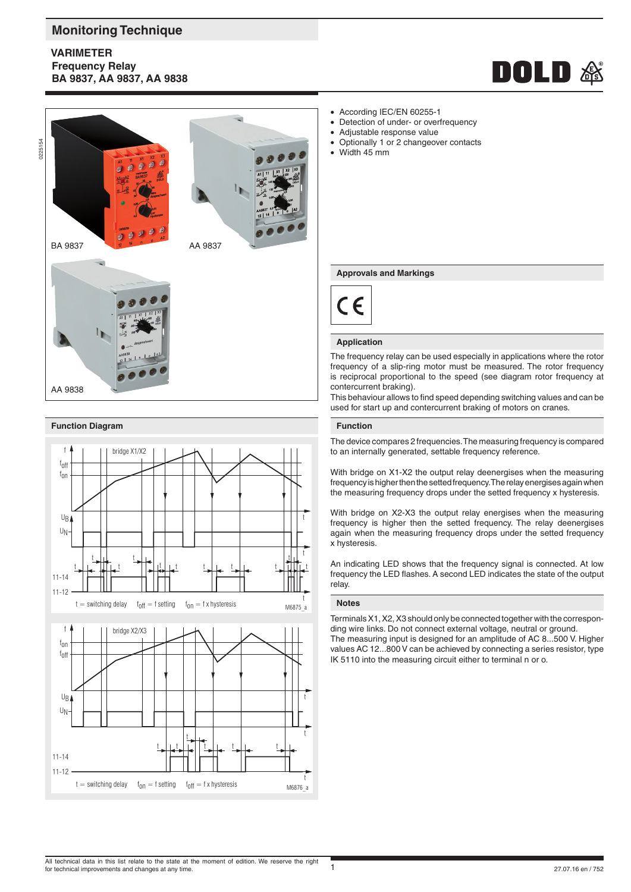# **Monitoring Technique**

# **VARIMETER Frequency Relay BA 9837, AA 9837, AA 9838**





0225154







- According IEC/EN 60255-1
- Detection of under- or overfrequency
	- Adjustable response value
- Optionally 1 or 2 changeover contacts
	- Width 45 mm

#### **Approvals and Markings**



#### **Application**

The frequency relay can be used especially in applications where the rotor frequency of a slip-ring motor must be measured. The rotor frequency is reciprocal proportional to the speed (see diagram rotor frequency at contercurrent braking).

This behaviour allows to find speed depending switching values and can be used for start up and contercurrent braking of motors on cranes.

## **Function**

The device compares 2 frequencies. The measuring frequency is compared to an internally generated, settable frequency reference.

With bridge on X1-X2 the output relay deenergises when the measuring frequency is higher then the setted frequency. The relay energises again when the measuring frequency drops under the setted frequency x hysteresis.

With bridge on X2-X3 the output relay energises when the measuring frequency is higher then the setted frequency. The relay deenergises again when the measuring frequency drops under the setted frequency x hysteresis.

An indicating LED shows that the frequency signal is connected. At low frequency the LED flashes. A second LED indicates the state of the output relay.

#### **Notes**

Terminals X1, X2, X3 should only be connected together with the corresponding wire links. Do not connect external voltage, neutral or ground. The measuring input is designed for an amplitude of AC 8...500 V. Higher values AC 12...800 V can be achieved by connecting a series resistor, type IK 5110 into the measuring circuit either to terminal n or o.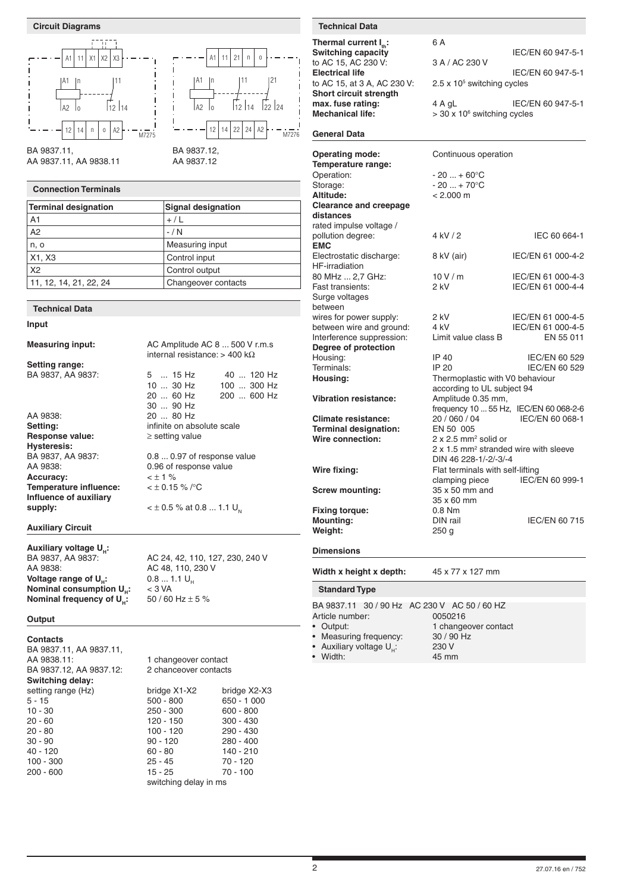



AA 9837.11, AA 9838.11

# **Connection Terminals**

| Terminal designation   | <b>Signal designation</b> |
|------------------------|---------------------------|
| A <sub>1</sub>         | $+/L$                     |
| A2                     | $-/ N$                    |
| n, o                   | Measuring input           |
| X1, X3                 | Control input             |
| X <sub>2</sub>         | Control output            |
| 11, 12, 14, 21, 22, 24 | Changeover contacts       |

#### **Technical Data**

#### **Input**

**Measuring input:** AC Amplitude AC 8 ... 500 V r.m.s

**Setting range:** BA 9837, AA 9837: 5 ... 15 Hz 40 ... 120 Hz<br>10 ... 30 Hz 100 ... 300 Hz

30 ... 90 Hz<br>AA 9838: 20 ... 80 Hz AA 9838: 20 ... 80 Hz<br> **Setting:** 20 ... 80 Hz **Response value: Hysteresis:** AA 9838: 0.96 of response value Accuracy:  $\times \pm 1 \%$ **Temperature influence:** < ± 0.15 % /°C **Influence of auxiliary supply:**  $<\pm 0.5 \%$  at 0.8 ... 1.1 U<sub>N</sub>

## **Auxiliary Circuit**

**Auxiliary voltage U<sub>H</sub>:<br>BA 9837, AA 9837: Voltage range of U<sub>H</sub>: 0.8 ... 1<br><b>Nominal consumption U<sub>n</sub>:** < 3 VA **Nominal consumption U<sub>H</sub>:**  $\leq 3$  **VA<br><b>Nominal frequency of U<sub>u</sub>:**  $\leq 50/60$  Hz  $\pm$  5 % **Nominal frequency of U<sub>u</sub>**:

BA 9837, AA 9837:  $\overline{A}$  AC 24, 42, 110, 127, 230, 240 V<br>AC 48, 110, 230 V AC 48, 110, 230 V<br>0.8 ... 1.1 U<sub>u</sub>

internal resistance: > 400 kΩ

BA 9837.12, AA 9837.12

A1

A2 lo

12

14

**Setting on absolute scale**<br>interprise in a setting value

 $0.8...0.97$  of response value

10 ... 30 Hz 100 ... 300 Hz

200 ... 600 Hz

n

n 11 21

o

12 114 122 124

 $22 | 24 | 42$ 

M7276

11

 $21$ 

### **Output**

**Contacts** BA 9837.11, AA 9837.11, AA 9838.11: 1 changeover contact<br>BA 9837.12. AA 9837.12: 2 chanceover contacts BA 9837.12, AA 9837.12: **Switching delay:** 20 - 80 100 - 120<br>30 - 90 30 - 90 20 20 100 - 300<br>200 - 600 25 - 45

setting range (Hz) bridge X1-X2 bridge X2-X3<br>5 - 15 500 - 800 650 - 1000  $5 - 15$   $50 - 800$   $650 - 1000$ <br>  $10 - 30$   $250 - 300$   $600 - 800$ 250 - 300 600 - 800<br>120 - 150 300 - 430 20 - 60 120 - 150 300 - 430

# 30 - 90 90 - 120 280 - 400 40 - 80 140 - 210<br>25 - 45 70 - 120 200 - 600 15 - 25 70 - 100 switching delay in ms

| Thermal current $I_{th}$ :  | 6 A                                        |                   |
|-----------------------------|--------------------------------------------|-------------------|
| <b>Switching capacity</b>   |                                            | IEC/EN 60 947-5-1 |
| to AC 15, AC 230 V:         | 3 A / AC 230 V                             |                   |
| <b>Electrical life</b>      |                                            | IEC/EN 60 947-5-1 |
| to AC 15, at 3 A, AC 230 V: | $2.5 \times 10^5$ switching cycles         |                   |
| Short circuit strength      |                                            |                   |
| max. fuse rating:           | 4 A gL                                     | IEC/EN 60 947-5-1 |
| <b>Mechanical life:</b>     | $>$ 30 x 10 $\textdegree$ switching cycles |                   |
|                             |                                            |                   |

# **General Data**

| <b>Operating mode:</b><br>Temperature range:     | Continuous operation                                                                         |                                        |  |
|--------------------------------------------------|----------------------------------------------------------------------------------------------|----------------------------------------|--|
| Operation:                                       | $-20  + 60^{\circ}C$                                                                         |                                        |  |
| Storage:                                         | $-20+70$ °C                                                                                  |                                        |  |
| Altitude:                                        | $< 2.000 \text{ m}$                                                                          |                                        |  |
| <b>Clearance and creepage</b>                    |                                                                                              |                                        |  |
| distances                                        |                                                                                              |                                        |  |
| rated impulse voltage /                          |                                                                                              |                                        |  |
| pollution degree:                                | 4 kV / 2                                                                                     | IEC 60 664-1                           |  |
| <b>EMC</b>                                       |                                                                                              |                                        |  |
| Electrostatic discharge:<br>HF-irradiation       | 8 kV (air)                                                                                   | IEC/EN 61 000-4-2                      |  |
| 80 MHz  2.7 GHz:                                 | 10V/m                                                                                        | IEC/EN 61 000-4-3                      |  |
| Fast transients:                                 | 2 kV                                                                                         | IEC/EN 61 000-4-4                      |  |
| Surge voltages                                   |                                                                                              |                                        |  |
| between                                          |                                                                                              |                                        |  |
| wires for power supply:                          | 2 kV                                                                                         | IEC/EN 61 000-4-5                      |  |
| between wire and ground:                         | 4 kV                                                                                         | IEC/EN 61 000-4-5                      |  |
| Interference suppression:                        | Limit value class B                                                                          | EN 55 011                              |  |
| Degree of protection                             |                                                                                              |                                        |  |
| Housing:                                         | IP 40                                                                                        | IEC/EN 60 529                          |  |
| Terminals:                                       | IP 20                                                                                        | IEC/EN 60 529                          |  |
| Housing:                                         | Thermoplastic with V0 behaviour                                                              |                                        |  |
|                                                  | according to UL subject 94                                                                   |                                        |  |
| <b>Vibration resistance:</b>                     | Amplitude 0.35 mm,                                                                           |                                        |  |
|                                                  |                                                                                              | frequency 10  55 Hz, IEC/EN 60 068-2-6 |  |
| <b>Climate resistance:</b>                       | 20 / 060 / 04                                                                                | IEC/EN 60 068-1                        |  |
| <b>Terminal designation:</b><br>Wire connection: | EN 50 005                                                                                    |                                        |  |
|                                                  | $2 \times 2.5$ mm <sup>2</sup> solid or<br>2 x 1.5 mm <sup>2</sup> stranded wire with sleeve |                                        |  |
|                                                  | DIN 46 228-1/-2/-3/-4                                                                        |                                        |  |
| Wire fixing:                                     | Flat terminals with self-lifting                                                             |                                        |  |
|                                                  | clamping piece                                                                               | IEC/EN 60 999-1                        |  |
| <b>Screw mounting:</b>                           | 35 x 50 mm and                                                                               |                                        |  |
|                                                  | 35 x 60 mm                                                                                   |                                        |  |
| <b>Fixing torque:</b>                            | $0.8$ Nm                                                                                     |                                        |  |
| <b>Mounting:</b>                                 | DIN rail                                                                                     | <b>IEC/EN 60 715</b>                   |  |
| Weight:                                          | 250 <sub>g</sub>                                                                             |                                        |  |
|                                                  |                                                                                              |                                        |  |
| <b>Dimensions</b>                                |                                                                                              |                                        |  |
| Width x height x depth:                          | 45 x 77 x 127 mm                                                                             |                                        |  |
| <b>Standard Type</b>                             |                                                                                              |                                        |  |
|                                                  |                                                                                              |                                        |  |

BA 9837.11 30 / 90 Hz AC 230 V AC 50 / 60 HZ<br>Article number: 0050216 Article number:<br>• Output: 1 changeover contact<br>30 / 90 Hz Measuring frequency: 30 / 90<br>Auxiliary voltage U Auxiliary voltage  $U_H$ : 230 V<br>Width: 45 mm • Width: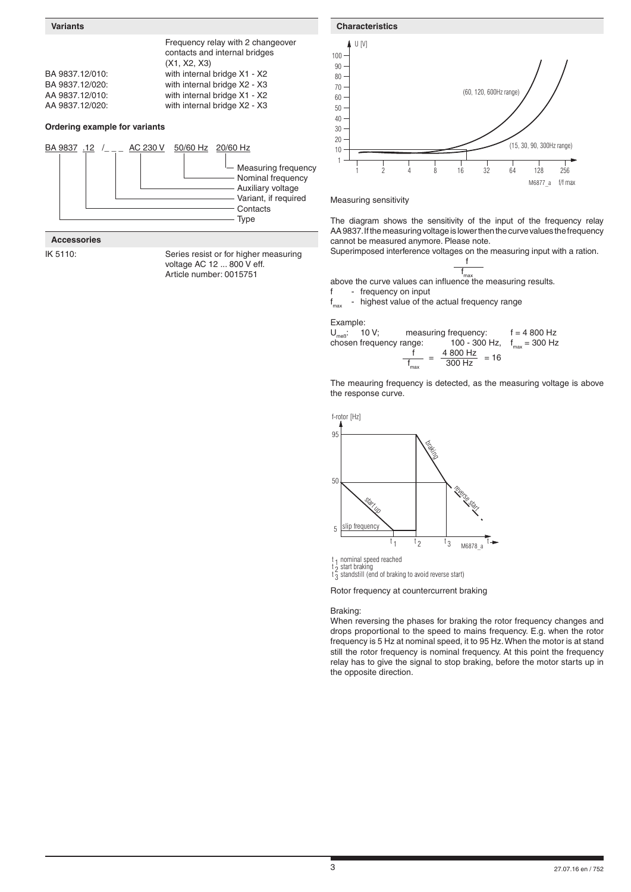

**Accessories**

IK 5110: Series resist or for higher measuring voltage AC 12 ... 800 V eff. Article number: 0015751



Measuring sensitivity

The diagram shows the sensitivity of the input of the frequency relay AA 9837. If the measuring voltage is lower then the curve values the frequency cannot be measured anymore. Please note.

Superimposed interference voltages on the measuring input with a ration.

f f

max above the curve values can influence the measuring results. f - frequency on input

f - highest value of the actual frequency range

Example:

 $U_{\text{max}}$ : 10 V; measuring frequency:  $f = 4800 \text{ Hz}$ chosen frequency range: 100 - 300 Hz,  $f_{max} = 300$  Hz f 4 800 Hz  $\frac{1}{f_{\text{max}}} = \frac{4000 \text{ Hz}}{300 \text{ Hz}} = 16$ 

The meauring frequency is detected, as the measuring voltage is above the response curve.



t<sub>1</sub> nominal speed reached

t  $\frac{1}{2}$  start braking<br>t  $\frac{1}{3}$  standstill (end of braking to avoid reverse start)

Rotor frequency at countercurrent braking

Braking:

When reversing the phases for braking the rotor frequency changes and drops proportional to the speed to mains frequency. E.g. when the rotor frequency is 5 Hz at nominal speed, it to 95 Hz. When the motor is at stand still the rotor frequency is nominal frequency. At this point the frequency relay has to give the signal to stop braking, before the motor starts up in the opposite direction.